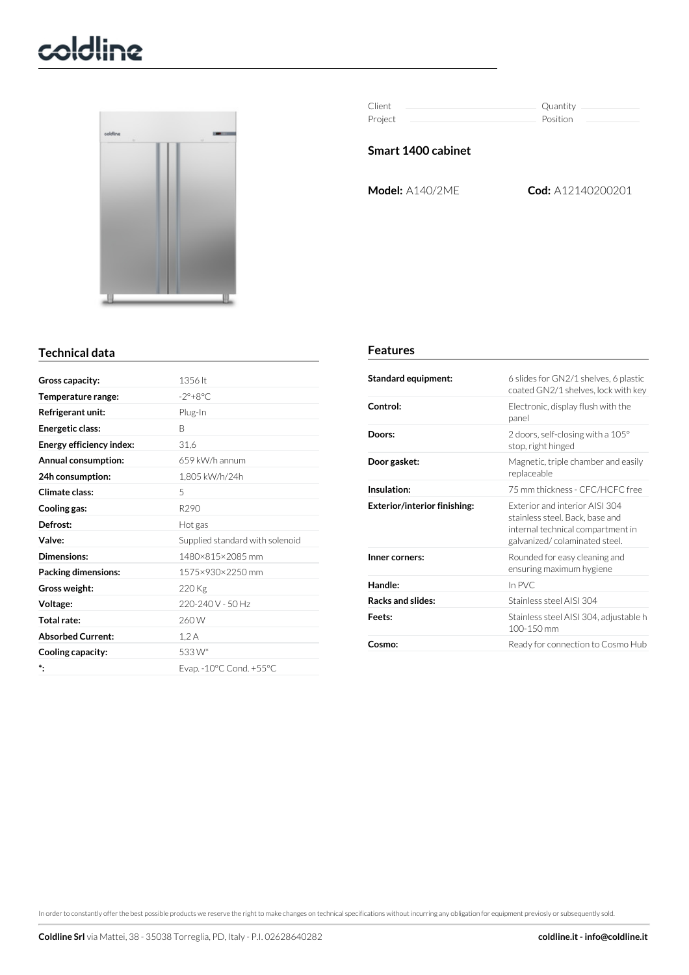# coldline



| Client  | Quantity |
|---------|----------|
| Project | Position |

### **Smart 1400 cabinet**

**Model:** A140/2ME **Cod:** A12140200201

### **Technical data**

| Gross capacity:          | 1356 lt                         |
|--------------------------|---------------------------------|
| Temperature range:       | $-2^\circ + 8^\circ C$          |
| Refrigerant unit:        | Plug-In                         |
| Energetic class:         | B                               |
| Energy efficiency index: | 31,6                            |
| Annual consumption:      | 659 kW/h annum                  |
| 24h consumption:         | 1,805 kW/h/24h                  |
| Climate class:           | 5                               |
| Cooling gas:             | R <sub>290</sub>                |
| Defrost:                 | Hot gas                         |
| Valve:                   | Supplied standard with solenoid |
| Dimensions:              | 1480×815×2085 mm                |
| Packing dimensions:      | 1575×930×2250 mm                |
| Gross weight:            | 220 Kg                          |
| Voltage:                 | 220-240 V - 50 Hz               |
| Total rate:              | 260W                            |
| <b>Absorbed Current:</b> | 1,2A                            |
| Cooling capacity:        | 533W*                           |
| *.                       | Evap. - 10°C Cond. +55°C        |
|                          |                                 |

#### **Features**

| Standard equipment:                 | 6 slides for GN2/1 shelves, 6 plastic<br>coated GN2/1 shelves, lock with key                                                           |
|-------------------------------------|----------------------------------------------------------------------------------------------------------------------------------------|
| Control:                            | Electronic, display flush with the<br>panel                                                                                            |
| Doors:                              | 2 doors, self-closing with a $105^{\circ}$<br>stop, right hinged                                                                       |
| Door gasket:                        | Magnetic, triple chamber and easily<br>replaceable                                                                                     |
| Insulation:                         | 75 mm thickness - CFC/HCFC free                                                                                                        |
| <b>Exterior/interior finishing:</b> | Exterior and interior AISL304<br>stainless steel. Back, base and<br>internal technical compartment in<br>galvanized/colaminated steel. |
| Inner corners:                      | Rounded for easy cleaning and<br>ensuring maximum hygiene                                                                              |
| Handle:                             | In PVC                                                                                                                                 |
| <b>Racks and slides:</b>            | Stainless steel AISL304                                                                                                                |
| Feets:                              | Stainless steel AISI 304, adjustable h<br>100-150 mm                                                                                   |
| Cosmo:                              | Ready for connection to Cosmo Hub                                                                                                      |

In orderto constantly offerthe best possible products we reserve the right to make changes on technical specifications without incurring any obligation for equipment previosly or subsequently sold.